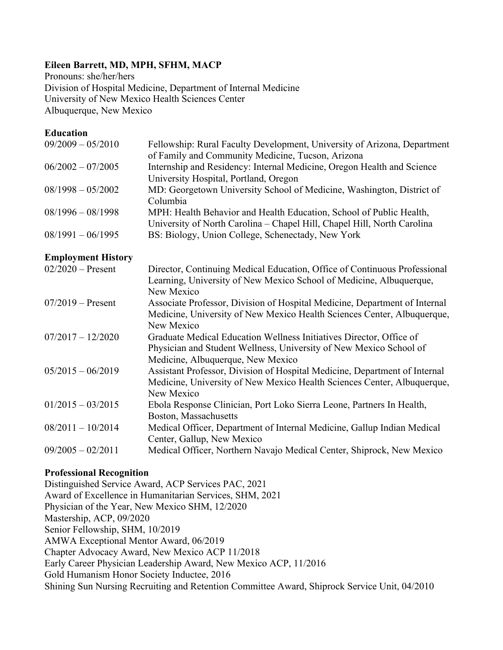# **Eileen Barrett, MD, MPH, SFHM, MACP**

Pronouns: she/her/hers Division of Hospital Medicine, Department of Internal Medicine University of New Mexico Health Sciences Center Albuquerque, New Mexico

## **Education**

| $09/2009 - 05/2010$       | Fellowship: Rural Faculty Development, University of Arizona, Department   |
|---------------------------|----------------------------------------------------------------------------|
|                           | of Family and Community Medicine, Tucson, Arizona                          |
| $06/2002 - 07/2005$       | Internship and Residency: Internal Medicine, Oregon Health and Science     |
|                           | University Hospital, Portland, Oregon                                      |
| $08/1998 - 05/2002$       | MD: Georgetown University School of Medicine, Washington, District of      |
|                           | Columbia                                                                   |
| $08/1996 - 08/1998$       | MPH: Health Behavior and Health Education, School of Public Health,        |
|                           | University of North Carolina - Chapel Hill, Chapel Hill, North Carolina    |
| $08/1991 - 06/1995$       | BS: Biology, Union College, Schenectady, New York                          |
|                           |                                                                            |
| <b>Employment History</b> |                                                                            |
| $02/2020 -$ Present       | Director, Continuing Medical Education, Office of Continuous Professional  |
|                           | Learning, University of New Mexico School of Medicine, Albuquerque,        |
|                           | New Mexico                                                                 |
| $07/2019 -$ Present       | Associate Professor, Division of Hospital Medicine, Department of Internal |
|                           | Medicine, University of New Mexico Health Sciences Center, Albuquerque,    |
|                           | New Mexico                                                                 |
| $07/2017 - 12/2020$       | Graduate Medical Education Wellness Initiatives Director, Office of        |
|                           | Physician and Student Wellness, University of New Mexico School of         |
|                           | Medicine, Albuquerque, New Mexico                                          |
| $05/2015 - 06/2019$       | Assistant Professor, Division of Hospital Medicine, Department of Internal |
|                           | Medicine, University of New Mexico Health Sciences Center, Albuquerque,    |
|                           | New Mexico                                                                 |
| $01/2015 - 03/2015$       | Ebola Response Clinician, Port Loko Sierra Leone, Partners In Health,      |
|                           | Boston, Massachusetts                                                      |
| $08/2011 - 10/2014$       | Medical Officer, Department of Internal Medicine, Gallup Indian Medical    |
|                           | Center, Gallup, New Mexico                                                 |
|                           |                                                                            |

### 09/2005 – 02/2011 Medical Officer, Northern Navajo Medical Center, Shiprock, New Mexico

### **Professional Recognition**

Distinguished Service Award, ACP Services PAC, 2021 Award of Excellence in Humanitarian Services, SHM, 2021 Physician of the Year, New Mexico SHM, 12/2020 Mastership, ACP, 09/2020 Senior Fellowship, SHM, 10/2019 AMWA Exceptional Mentor Award, 06/2019 Chapter Advocacy Award, New Mexico ACP 11/2018 Early Career Physician Leadership Award, New Mexico ACP, 11/2016 Gold Humanism Honor Society Inductee, 2016 Shining Sun Nursing Recruiting and Retention Committee Award, Shiprock Service Unit, 04/2010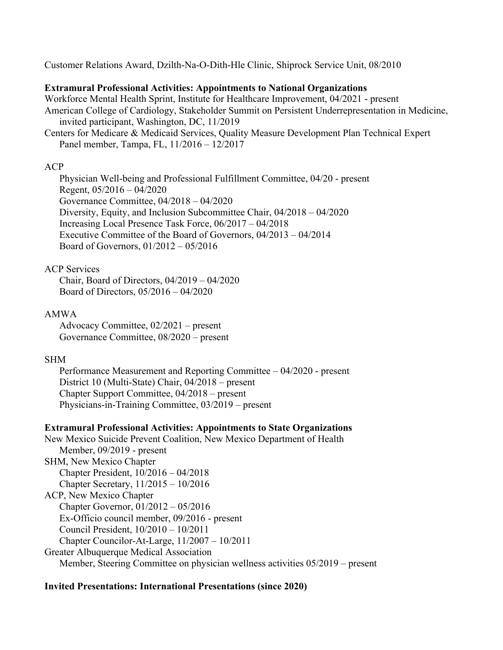Customer Relations Award, Dzilth-Na-O-Dith-Hle Clinic, Shiprock Service Unit, 08/2010

### **Extramural Professional Activities: Appointments to National Organizations**

Workforce Mental Health Sprint, Institute for Healthcare Improvement, 04/2021 - present American College of Cardiology, Stakeholder Summit on Persistent Underrepresentation in Medicine, invited participant, Washington, DC, 11/2019

Centers for Medicare & Medicaid Services, Quality Measure Development Plan Technical Expert Panel member, Tampa, FL, 11/2016 – 12/2017

### ACP

Physician Well-being and Professional Fulfillment Committee, 04/20 - present Regent, 05/2016 – 04/2020 Governance Committee, 04/2018 – 04/2020 Diversity, Equity, and Inclusion Subcommittee Chair, 04/2018 – 04/2020 Increasing Local Presence Task Force, 06/2017 – 04/2018 Executive Committee of the Board of Governors, 04/2013 – 04/2014 Board of Governors, 01/2012 – 05/2016

## ACP Services

Chair, Board of Directors, 04/2019 – 04/2020 Board of Directors, 05/2016 – 04/2020

### AMWA

Advocacy Committee, 02/2021 – present Governance Committee, 08/2020 – present

### SHM

Performance Measurement and Reporting Committee – 04/2020 - present District 10 (Multi-State) Chair, 04/2018 – present Chapter Support Committee, 04/2018 – present Physicians-in-Training Committee, 03/2019 – present

### **Extramural Professional Activities: Appointments to State Organizations**

New Mexico Suicide Prevent Coalition, New Mexico Department of Health Member, 09/2019 - present SHM, New Mexico Chapter Chapter President, 10/2016 – 04/2018 Chapter Secretary, 11/2015 – 10/2016 ACP, New Mexico Chapter Chapter Governor, 01/2012 – 05/2016 Ex-Officio council member, 09/2016 - present Council President, 10/2010 – 10/2011 Chapter Councilor-At-Large, 11/2007 – 10/2011 Greater Albuquerque Medical Association Member, Steering Committee on physician wellness activities 05/2019 – present

### **Invited Presentations: International Presentations (since 2020)**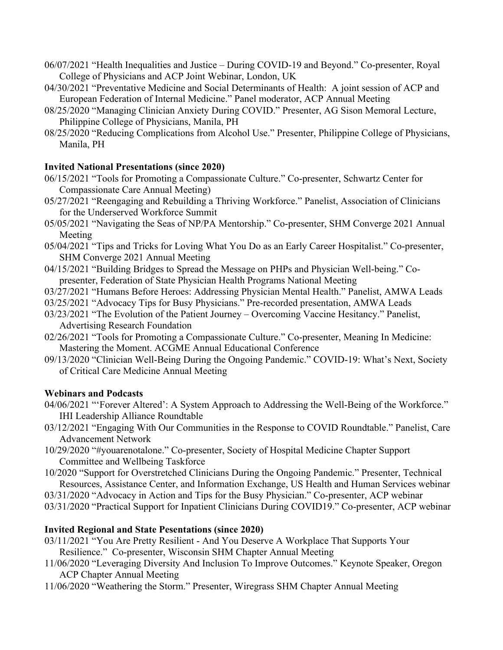- 06/07/2021 "Health Inequalities and Justice During COVID-19 and Beyond." Co-presenter, Royal College of Physicians and ACP Joint Webinar, London, UK
- 04/30/2021 "Preventative Medicine and Social Determinants of Health: A joint session of ACP and European Federation of Internal Medicine." Panel moderator, ACP Annual Meeting
- 08/25/2020 "Managing Clinician Anxiety During COVID." Presenter, AG Sison Memoral Lecture, Philippine College of Physicians, Manila, PH
- 08/25/2020 "Reducing Complications from Alcohol Use." Presenter, Philippine College of Physicians, Manila, PH

# **Invited National Presentations (since 2020)**

- 06/15/2021 "Tools for Promoting a Compassionate Culture." Co-presenter, Schwartz Center for Compassionate Care Annual Meeting)
- 05/27/2021 "Reengaging and Rebuilding a Thriving Workforce." Panelist, Association of Clinicians for the Underserved Workforce Summit
- 05/05/2021 "Navigating the Seas of NP/PA Mentorship." Co-presenter, SHM Converge 2021 Annual Meeting
- 05/04/2021 "Tips and Tricks for Loving What You Do as an Early Career Hospitalist." Co-presenter, SHM Converge 2021 Annual Meeting
- 04/15/2021 "Building Bridges to Spread the Message on PHPs and Physician Well-being." Copresenter, Federation of State Physician Health Programs National Meeting
- 03/27/2021 "Humans Before Heroes: Addressing Physician Mental Health." Panelist, AMWA Leads
- 03/25/2021 "Advocacy Tips for Busy Physicians." Pre-recorded presentation, AMWA Leads
- 03/23/2021 "The Evolution of the Patient Journey Overcoming Vaccine Hesitancy." Panelist, Advertising Research Foundation
- 02/26/2021 "Tools for Promoting a Compassionate Culture." Co-presenter, Meaning In Medicine: Mastering the Moment. ACGME Annual Educational Conference
- 09/13/2020 "Clinician Well-Being During the Ongoing Pandemic." COVID-19: What's Next, Society of Critical Care Medicine Annual Meeting

# **Webinars and Podcasts**

- 04/06/2021 "'Forever Altered': A System Approach to Addressing the Well-Being of the Workforce." IHI Leadership Alliance Roundtable
- 03/12/2021 "Engaging With Our Communities in the Response to COVID Roundtable." Panelist, Care Advancement Network
- 10/29/2020 "#youarenotalone." Co-presenter, Society of Hospital Medicine Chapter Support Committee and Wellbeing Taskforce
- 10/2020 "Support for Overstretched Clinicians During the Ongoing Pandemic." Presenter, Technical Resources, Assistance Center, and Information Exchange, US Health and Human Services webinar
- 03/31/2020 "Advocacy in Action and Tips for the Busy Physician." Co-presenter, ACP webinar
- 03/31/2020 "Practical Support for Inpatient Clinicians During COVID19." Co-presenter, ACP webinar

# **Invited Regional and State Pesentations (since 2020)**

- 03/11/2021 "You Are Pretty Resilient And You Deserve A Workplace That Supports Your Resilience." Co-presenter, Wisconsin SHM Chapter Annual Meeting
- 11/06/2020 "Leveraging Diversity And Inclusion To Improve Outcomes." Keynote Speaker, Oregon ACP Chapter Annual Meeting
- 11/06/2020 "Weathering the Storm." Presenter, Wiregrass SHM Chapter Annual Meeting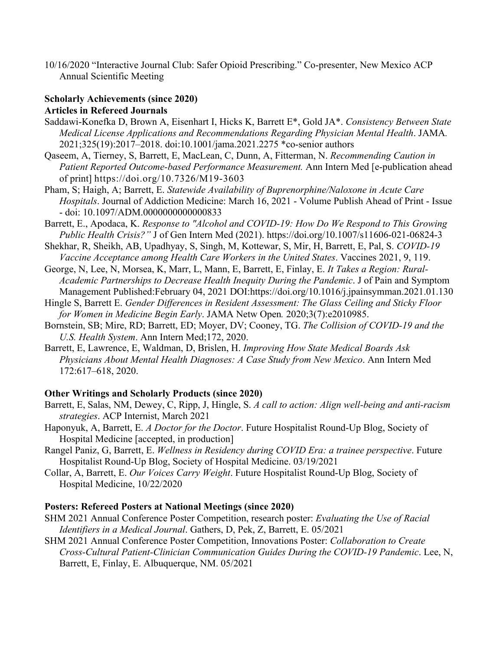10/16/2020 "Interactive Journal Club: Safer Opioid Prescribing." Co-presenter, New Mexico ACP Annual Scientific Meeting

## **Scholarly Achievements (since 2020) Articles in Refereed Journals**

- Saddawi-Konefka D, Brown A, Eisenhart I, Hicks K, Barrett E\*, Gold JA\*. *Consistency Between State Medical License Applications and Recommendations Regarding Physician Mental Health*. JAMA*.* 2021;325(19):2017–2018. doi:10.1001/jama.2021.2275 \*co-senior authors
- Qaseem, A, Tierney, S, Barrett, E, MacLean, C, Dunn, A, Fitterman, N. *Recommending Caution in Patient Reported Outcome-based Performance Measurement.* Ann Intern Med [e-publication ahead of print] https://doi.org/10.7326/M19-3603
- Pham, S; Haigh, A; Barrett, E. *Statewide Availability of Buprenorphine/Naloxone in Acute Care Hospitals*. Journal of Addiction Medicine: March 16, 2021 - Volume Publish Ahead of Print - Issue - doi: 10.1097/ADM.0000000000000833
- Barrett, E., Apodaca, K. *Response to "Alcohol and COVID-19: How Do We Respond to This Growing Public Health Crisis?"* J of Gen Intern Med (2021). https://doi.org/10.1007/s11606-021-06824-3
- Shekhar, R, Sheikh, AB, Upadhyay, S, Singh, M, Kottewar, S, Mir, H, Barrett, E, Pal, S. *COVID-19 Vaccine Acceptance among Health Care Workers in the United States*. Vaccines 2021, 9, 119.
- George, N, Lee, N, Morsea, K, Marr, L, Mann, E, Barrett, E, Finlay, E. *It Takes a Region: Rural-Academic Partnerships to Decrease Health Inequity During the Pandemic*. J of Pain and Symptom Management Published:February 04, 2021 DOI:https://doi.org/10.1016/j.jpainsymman.2021.01.130
- Hingle S, Barrett E. *Gender Differences in Resident Assessment: The Glass Ceiling and Sticky Floor for Women in Medicine Begin Early*. JAMA Netw Open*.* 2020;3(7):e2010985.
- Bornstein, SB; Mire, RD; Barrett, ED; Moyer, DV; Cooney, TG. *The Collision of COVID-19 and the U.S. Health System*. Ann Intern Med;172, 2020.
- Barrett, E, Lawrence, E, Waldman, D, Brislen, H. *Improving How State Medical Boards Ask Physicians About Mental Health Diagnoses: A Case Study from New Mexico*. Ann Intern Med 172:617–618, 2020.

# **Other Writings and Scholarly Products (since 2020)**

- Barrett, E, Salas, NM, Dewey, C, Ripp, J, Hingle, S. *A call to action: Align well-being and anti-racism strategies*. ACP Internist, March 2021
- Haponyuk, A, Barrett, E. *A Doctor for the Doctor*. Future Hospitalist Round-Up Blog, Society of Hospital Medicine [accepted, in production]
- Rangel Paniz, G, Barrett, E. *Wellness in Residency during COVID Era: a trainee perspective*. Future Hospitalist Round-Up Blog, Society of Hospital Medicine. 03/19/2021
- Collar, A, Barrett, E. *Our Voices Carry Weight*. Future Hospitalist Round-Up Blog, Society of Hospital Medicine, 10/22/2020

# **Posters: Refereed Posters at National Meetings (since 2020)**

- SHM 2021 Annual Conference Poster Competition, research poster: *Evaluating the Use of Racial Identifiers in a Medical Journal*. Gathers, D, Pek, Z, Barrett, E. 05/2021
- SHM 2021 Annual Conference Poster Competition, Innovations Poster: *Collaboration to Create Cross-Cultural Patient-Clinician Communication Guides During the COVID-19 Pandemic*. Lee, N, Barrett, E, Finlay, E. Albuquerque, NM. 05/2021